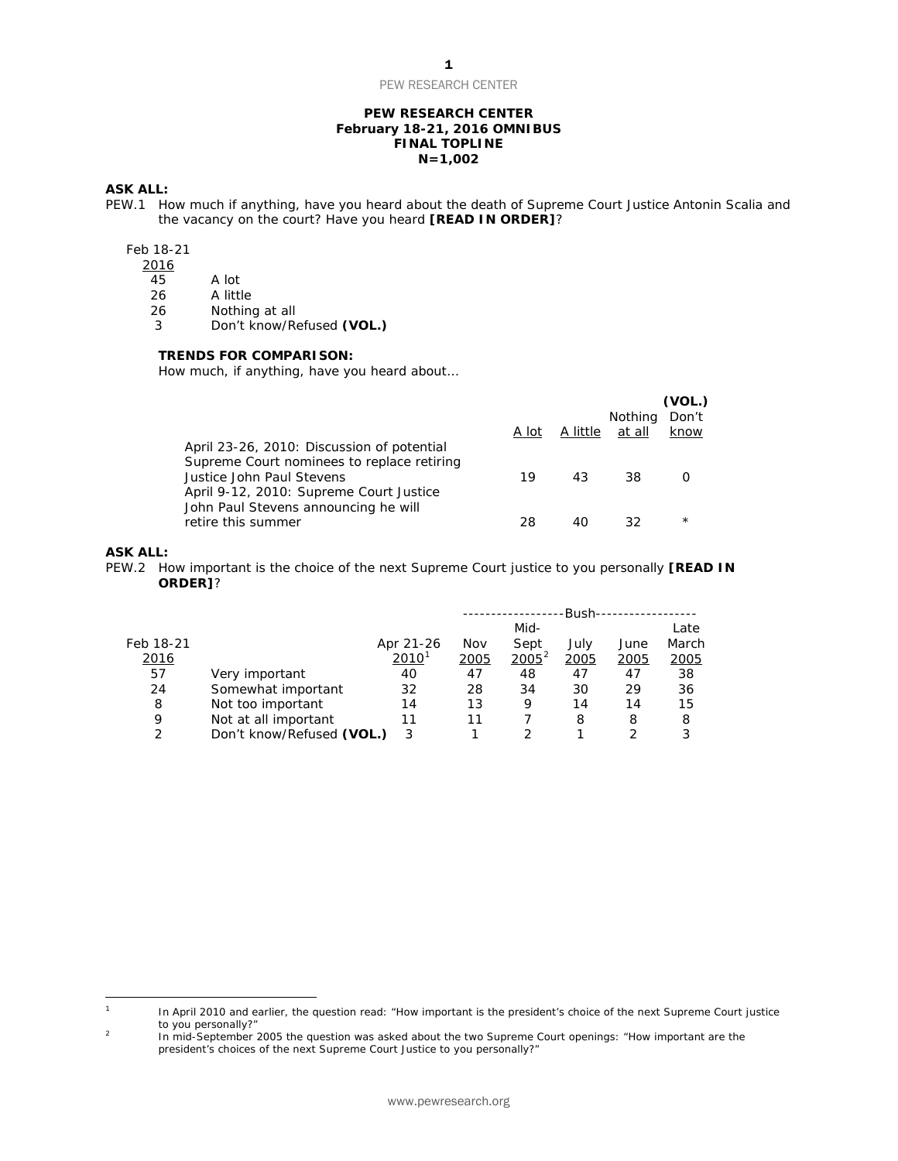PEW RESEARCH CENTER

# **PEW RESEARCH CENTER February 18-21, 2016 OMNIBUS FINAL TOPLINE N=1,002**

# **ASK ALL:**

PEW.1 How much if anything, have you heard about the death of Supreme Court Justice Antonin Scalia and the vacancy on the court? Have you heard **[READ IN ORDER]**?

# Feb 18-21

 $\frac{2016}{45}$ 

- 
- 45 A lot<br>26 A littl A little

26 Nothing at all<br>3 Don't know/Re 3 Don't know/Refused **(VOL.)**

## **TRENDS FOR COMPARISON:**

*How much, if anything, have you heard about…*

|                                            |       |          |                | (VOL.)   |
|--------------------------------------------|-------|----------|----------------|----------|
|                                            |       |          | <b>Nothing</b> | Don't    |
|                                            | A lot | A little | at all         | know     |
| April 23-26, 2010: Discussion of potential |       |          |                |          |
| Supreme Court nominees to replace retiring |       |          |                |          |
| Justice John Paul Stevens                  | 19    | 43       | 38             |          |
| April 9-12, 2010: Supreme Court Justice    |       |          |                |          |
| John Paul Stevens announcing he will       |       |          |                |          |
| retire this summer                         | 28    |          | 32             | $^\star$ |
|                                            |       |          |                |          |

#### **ASK ALL:**

PEW.2 How important is the choice of the next Supreme Court justice to you personally **[READ IN ORDER]**?

|             |                           |                     | -Bush- |          |      |      |               |
|-------------|---------------------------|---------------------|--------|----------|------|------|---------------|
|             |                           |                     |        | Mid-     |      |      | Late          |
| Feb 18-21   |                           | Apr 21-26           | Nov    | Sept     | July | June | March         |
| <u>2016</u> |                           | $2010$ <sup>1</sup> | 2005   | $2005^2$ | 2005 | 2005 | <u> 2005 </u> |
| 57          | Very important            | 40                  | 47     | 48       | 47   | 47   | 38            |
| 24          | Somewhat important        | 32                  | 28     | 34       | 30   | 29   | 36            |
| 8           | Not too important         | 14                  | 13     | 9        | 14   | 14   | 15            |
| 9           | Not at all important      | 11                  | 11     |          | 8    | 8    | 8             |
| C           | Don't know/Refused (VOL.) | 3                   |        |          |      |      | 3             |

<span id="page-0-0"></span> $\mathbf{1}$ In April 2010 and earlier, the question read: "How important is the president's choice of the next Supreme Court justice to you personally?"

<span id="page-0-1"></span><sup>&</sup>lt;sup>2</sup> In mid-September 2005 the question was asked about the two Supreme Court openings: "How important are the president's choices of the next Supreme Court Justice to you personally?"